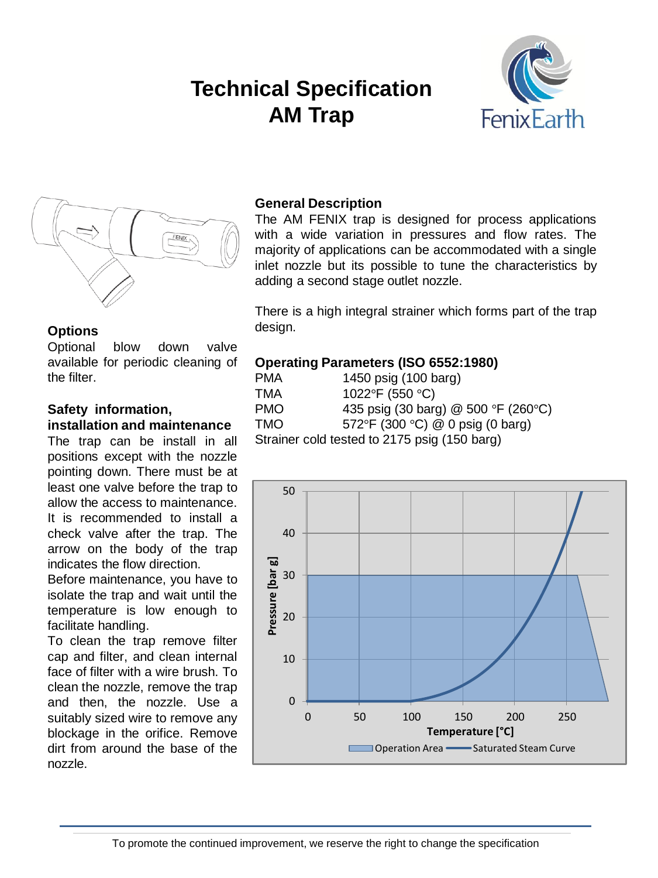# **Technical Specification AM Trap**





#### **Options**

Optional blow down valve available for periodic cleaning of the filter.

## **Safety information, installation and maintenance**

The trap can be install in all positions except with the nozzle pointing down. There must be at least one valve before the trap to allow the access to maintenance. It is recommended to install a check valve after the trap. The arrow on the body of the trap indicates the flow direction.

Before maintenance, you have to isolate the trap and wait until the temperature is low enough to facilitate handling.

To clean the trap remove filter cap and filter, and clean internal face of filter with a wire brush. To clean the nozzle, remove the trap and then, the nozzle. Use a suitably sized wire to remove any blockage in the orifice. Remove dirt from around the base of the nozzle.

#### **General Description**

The AM FENIX trap is designed for process applications with a wide variation in pressures and flow rates. The majority of applications can be accommodated with a single inlet nozzle but its possible to tune the characteristics by adding a second stage outlet nozzle.

There is a high integral strainer which forms part of the trap design.

#### **Operating Parameters (ISO 6552:1980)**

| <b>PMA</b>                                   | 1450 psig (100 barg)                 |  |  |  |
|----------------------------------------------|--------------------------------------|--|--|--|
| TMA                                          | 1022°F (550 °C)                      |  |  |  |
| <b>PMO</b>                                   | 435 psig (30 barg) @ 500 °F (260 °C) |  |  |  |
| <b>TMO</b>                                   | 572°F (300 °C) @ 0 psig (0 barg)     |  |  |  |
| Strainer cold tested to 2175 psig (150 barg) |                                      |  |  |  |